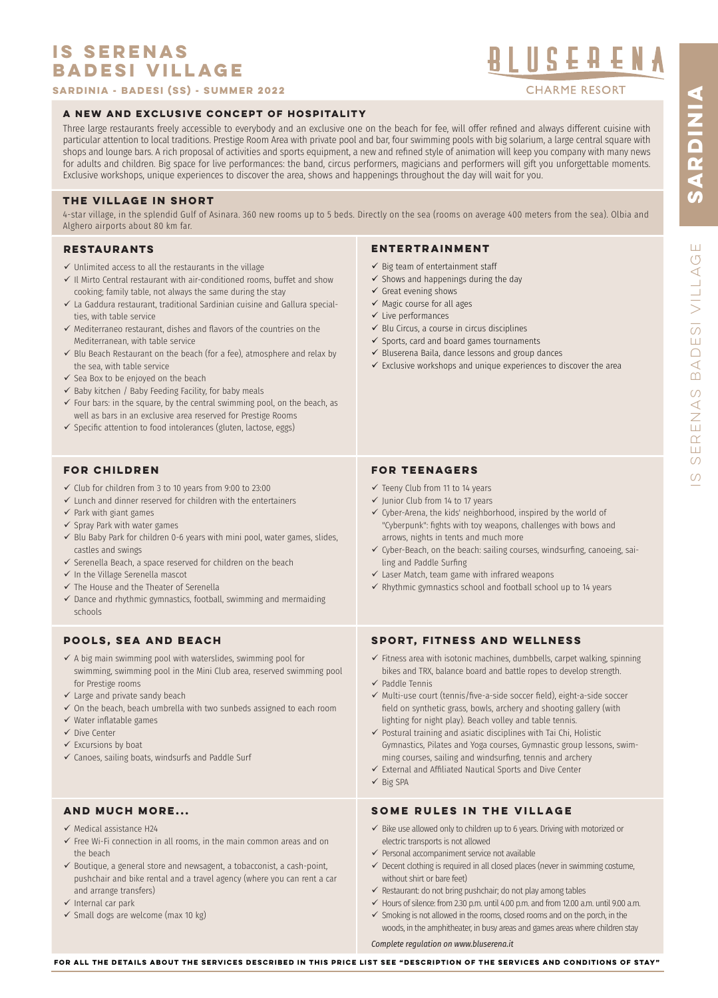# **IS SERENAS BADESI VILLAGE**

**Sardinia - Badesi (SS) - summer 2022**

# **A NEW AND EXCLUSIVE CONCEPT OF HOSPITALITY**

Three large restaurants freely accessible to everybody and an exclusive one on the beach for fee, will offer refned and always different cuisine with particular attention to local traditions. Prestige Room Area with private pool and bar, four swimming pools with big solarium, a large central square with shops and lounge bars. A rich proposal of activities and sports equipment, a new and refned style of animation will keep you company with many news for adults and children. Big space for live performances: the band, circus performers, magicians and performers will gift you unforgettable moments. Exclusive workshops, unique experiences to discover the area, shows and happenings throughout the day will wait for you.

# **THE VILLAGE IN SHORT**

4-star village, in the splendid Gulf of Asinara. 360 new rooms up to 5 beds. Directly on the sea (rooms on average 400 meters from the sea). Olbia and Alghero airports about 80 km far.

# **RESTAURANTS**

- $\checkmark$  Unlimited access to all the restaurants in the village
- $\checkmark$  Il Mirto Central restaurant with air-conditioned rooms, buffet and show cooking; family table, not always the same during the stay
- $\checkmark$  La Gaddura restaurant, traditional Sardinian cuisine and Gallura specialties, with table service
- $\checkmark$  Mediterraneo restaurant, dishes and flavors of the countries on the Mediterranean, with table service
- $\checkmark$  Blu Beach Restaurant on the beach (for a fee), atmosphere and relax by the sea, with table service
- $\checkmark$  Sea Box to be enjoyed on the beach
- $\checkmark$  Baby kitchen / Baby Feeding Facility, for baby meals
- $\checkmark$  Four bars: in the square, by the central swimming pool, on the beach, as well as bars in an exclusive area reserved for Prestige Rooms
- $\checkmark$  Specific attention to food intolerances (gluten, lactose, eggs)

# **FOR CHILDREN**

- $\checkmark$  Club for children from 3 to 10 years from 9:00 to 23:00
- $\checkmark$  Lunch and dinner reserved for children with the entertainers
- $\checkmark$  Park with giant games
- $\checkmark$  Spray Park with water games
- $\checkmark$  Blu Baby Park for children 0-6 years with mini pool, water games, slides, castles and swings
- $\checkmark$  Serenella Beach, a space reserved for children on the beach
- $\checkmark$  In the Village Serenella mascot
- $\checkmark$  The House and the Theater of Serenella
- $\checkmark$  Dance and rhythmic gymnastics, football, swimming and mermaiding schools

# **POOLS, SEA AND BEACH**

- $\checkmark$  A big main swimming pool with waterslides, swimming pool for swimming, swimming pool in the Mini Club area, reserved swimming pool for Prestige rooms
- $\checkmark$  Large and private sandy beach
- $\checkmark$  On the beach, beach umbrella with two sunbeds assigned to each room
- $\checkmark$  Water inflatable games
- $\checkmark$  Dive Center
- $\checkmark$  Excursions by boat
- $\checkmark$  Canoes, sailing boats, windsurfs and Paddle Surf

# **AND MUCH MORE...**

- $\checkmark$  Medical assistance H24
- $\checkmark$  Free Wi-Fi connection in all rooms, in the main common areas and on the beach
- $\checkmark$  Boutique, a general store and newsagent, a tobacconist, a cash-point, pushchair and bike rental and a travel agency (where you can rent a car and arrange transfers)
- $\checkmark$  Internal car park
- $\checkmark$  Small dogs are welcome (max 10 kg)

# **ENTERTRAINMENT**

- $\checkmark$  Big team of entertainment staff
- $\checkmark$  Shows and happenings during the day
- $\checkmark$  Great evening shows
- $\checkmark$  Magic course for all ages
- $\checkmark$  Live performances
- $\checkmark$  Blu Circus, a course in circus disciplines
- $\checkmark$  Sports, card and board games tournaments
- $\checkmark$  Bluserena Baila, dance lessons and group dances
- $\checkmark$  Exclusive workshops and unique experiences to discover the area

# **FOR TEENAGERS**

- $\checkmark$  Teeny Club from 11 to 14 years
- $\checkmark$  Junior Club from 14 to 17 years
- $\checkmark$  Cyber-Arena, the kids' neighborhood, inspired by the world of "Cyberpunk": fghts with toy weapons, challenges with bows and arrows, nights in tents and much more
- $\checkmark$  Cyber-Beach, on the beach: sailing courses, windsurfing, canoeing, sailing and Paddle Surfng
- $\checkmark$  Laser Match, team game with infrared weapons
- $\checkmark$  Rhythmic gymnastics school and football school up to 14 years

# **SPORT, FITNESS AND WELLNESS**

- $\checkmark$  Fitness area with isotonic machines, dumbbells, carpet walking, spinning bikes and TRX, balance board and battle ropes to develop strength.
- $\checkmark$  Paddle Tennis
- $\checkmark$  Multi-use court (tennis/five-a-side soccer field), eight-a-side soccer feld on synthetic grass, bowls, archery and shooting gallery (with lighting for night play). Beach volley and table tennis.
- $\checkmark$  Postural training and asiatic disciplines with Tai Chi, Holistic Gymnastics, Pilates and Yoga courses, Gymnastic group lessons, swimming courses, sailing and windsurfng, tennis and archery
- $\checkmark$  External and Affiliated Nautical Sports and Dive Center
- $\checkmark$  Big SPA

# **SOME RULES IN THE VILLAGE**

- $\checkmark$  Bike use allowed only to children up to 6 years. Driving with motorized or electric transports is not allowed
- $\checkmark$  Personal accompaniment service not available
- $\checkmark$  Decent clothing is required in all closed places (never in swimming costume, without shirt or bare feet)
- $\checkmark$  Restaurant: do not bring pushchair; do not play among tables
- $\checkmark$  Hours of silence: from 2.30 p.m. until 4.00 p.m. and from 12.00 a.m. until 9.00 a.m.
- $\checkmark$  Smoking is not allowed in the rooms, closed rooms and on the porch, in the woods, in the amphitheater, in busy areas and games areas where children stay

*Complete regulation on www.bluserena.it*

BLUSEAENA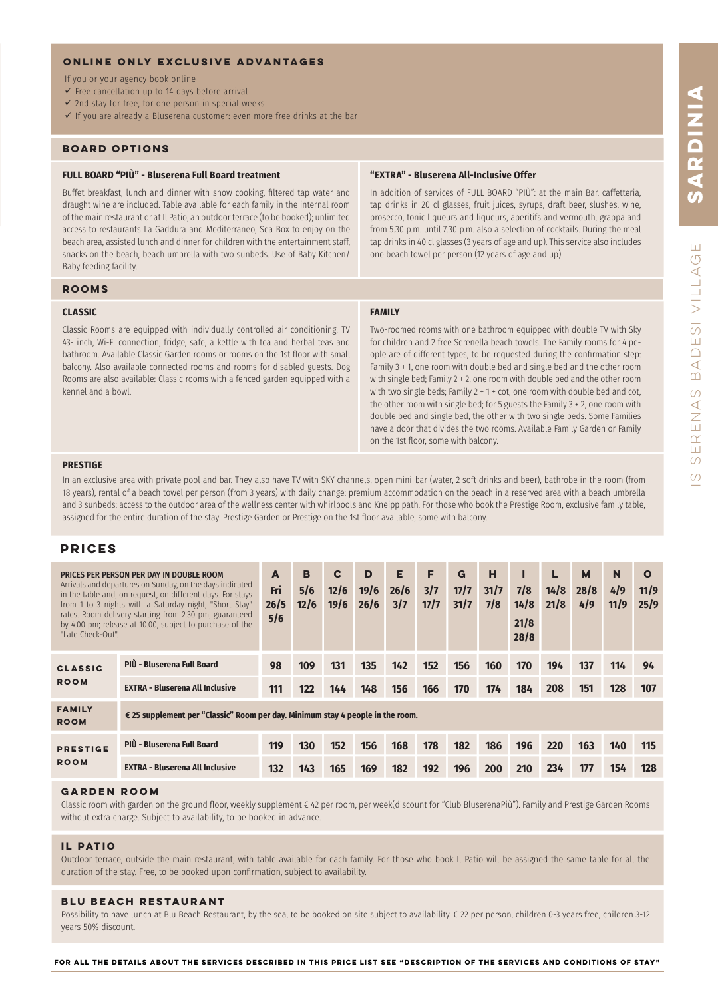# **ONLINE ONLY EXCLUSIVE ADVANTAGES**

If you or your agency book online

- $\checkmark$  Free cancellation up to 14 days before arrival
- $\checkmark$  2nd stay for free, for one person in special weeks
- $\checkmark$  If you are already a Bluserena customer: even more free drinks at the bar

# **BOARD OPTIONS**

# **FULL BOARD "PIÙ" - Bluserena Full Board treatment**

Buffet breakfast, lunch and dinner with show cooking, fltered tap water and draught wine are included. Table available for each family in the internal room of the main restaurant or at Il Patio, an outdoor terrace (to be booked); unlimited access to restaurants La Gaddura and Mediterraneo, Sea Box to enjoy on the beach area, assisted lunch and dinner for children with the entertainment staff, snacks on the beach, beach umbrella with two sunbeds. Use of Baby Kitchen/ Baby feeding facility.

### **ROOMS**

### **CLASSIC**

Classic Rooms are equipped with individually controlled air conditioning, TV 43- inch, Wi-Fi connection, fridge, safe, a kettle with tea and herbal teas and bathroom. Available Classic Garden rooms or rooms on the 1st floor with small balcony. Also available connected rooms and rooms for disabled guests. Dog Rooms are also available: Classic rooms with a fenced garden equipped with a kennel and a bowl.

# **"EXTRA" - Bluserena All-Inclusive Offer**

In addition of services of FULL BOARD "PIÙ": at the main Bar, caffetteria, tap drinks in 20 cl glasses, fruit juices, syrups, draft beer, slushes, wine, prosecco, tonic liqueurs and liqueurs, aperitifs and vermouth, grappa and from 5.30 p.m. until 7.30 p.m. also a selection of cocktails. During the meal tap drinks in 40 cl glasses (3 years of age and up). This service also includes one beach towel per person (12 years of age and up).

### **FAMILY**

Two-roomed rooms with one bathroom equipped with double TV with Sky for children and 2 free Serenella beach towels. The Family rooms for 4 people are of different types, to be requested during the confrmation step: Family 3 + 1, one room with double bed and single bed and the other room with single bed; Family 2 + 2, one room with double bed and the other room with two single beds; Family 2 + 1 + cot, one room with double bed and cot, the other room with single bed; for 5 guests the Family 3 + 2, one room with double bed and single bed, the other with two single beds. Some Families have a door that divides the two rooms. Available Family Garden or Family on the 1st floor, some with balcony.

### **PRESTIGE**

In an exclusive area with private pool and bar. They also have TV with SKY channels, open mini-bar (water, 2 soft drinks and beer), bathrobe in the room (from 18 years), rental of a beach towel per person (from 3 years) with daily change; premium accommodation on the beach in a reserved area with a beach umbrella and 3 sunbeds; access to the outdoor area of the wellness center with whirlpools and Kneipp path. For those who book the Prestige Room, exclusive family table, assigned for the entire duration of the stay. Prestige Garden or Prestige on the 1st floor available, some with balcony.

# **PRICES**

| PRICES PER PERSON PER DAY IN DOUBLE ROOM<br>Arrivals and departures on Sunday, on the days indicated<br>in the table and, on request, on different days. For stays<br>from 1 to 3 nights with a Saturday night, "Short Stay"<br>rates. Room delivery starting from 2.30 pm, guaranteed<br>by 4.00 pm; release at 10.00, subject to purchase of the<br>"Late Check-Out". |                                                                                | A<br>Fri<br>26/5<br>5/6 | B<br>5/6<br>12/6 | $\mathbf c$<br>12/6<br>19/6 | D<br>19/6<br>26/6 | Е<br>26/6<br>3/7 | F<br>3/7<br>17/7 | G<br>17/7<br>31/7 | н<br>31/7<br>7/8 | 7/8<br>14/8<br>21/8<br>28/8 | 14/8<br>21/8 | M<br>28/8<br>4/9 | N<br>4/9<br>11/9 | $\mathbf{o}$<br>11/9<br>25/9 |
|-------------------------------------------------------------------------------------------------------------------------------------------------------------------------------------------------------------------------------------------------------------------------------------------------------------------------------------------------------------------------|--------------------------------------------------------------------------------|-------------------------|------------------|-----------------------------|-------------------|------------------|------------------|-------------------|------------------|-----------------------------|--------------|------------------|------------------|------------------------------|
| <b>CLASSIC</b><br><b>ROOM</b>                                                                                                                                                                                                                                                                                                                                           | PIÙ - Bluserena Full Board                                                     | 98                      | 109              | 131                         | 135               | 142              | 152              | 156               | 160              | 170                         | 194          | 137              | 114              | 94                           |
|                                                                                                                                                                                                                                                                                                                                                                         | <b>EXTRA - Bluserena All Inclusive</b>                                         | 111                     | 122              | 144                         | 148               | 156              | 166              | 170               | 174              | 184                         | 208          | 151              | 128              | 107                          |
| <b>FAMILY</b><br><b>ROOM</b>                                                                                                                                                                                                                                                                                                                                            | € 25 supplement per "Classic" Room per day. Minimum stay 4 people in the room. |                         |                  |                             |                   |                  |                  |                   |                  |                             |              |                  |                  |                              |
| <b>PRESTIGE</b><br><b>ROOM</b>                                                                                                                                                                                                                                                                                                                                          | PIÙ - Bluserena Full Board                                                     | 119                     | <b>130</b>       | 152                         | 156               | 168              | 178              | 182               | 186              | 196                         | 220          | 163              | 140              | 115                          |
|                                                                                                                                                                                                                                                                                                                                                                         | <b>EXTRA - Bluserena All Inclusive</b>                                         | 132                     | 143              | 165                         | 169               | 182              | 192              | 196               | <b>200</b>       | <b>210</b>                  | 234          | 177              | 154              | 128                          |

### **garden room**

Classic room with garden on the ground floor, weekly supplement € 42 per room, per week(discount for "Club BluserenaPiù"). Family and Prestige Garden Rooms without extra charge. Subject to availability, to be booked in advance.

### **il patio**

Outdoor terrace, outside the main restaurant, with table available for each family. For those who book Il Patio will be assigned the same table for all the duration of the stay. Free, to be booked upon confrmation, subject to availability.

### **Blu Beach RESTAURANT**

Possibility to have lunch at Blu Beach Restaurant, by the sea, to be booked on site subject to availability. € 22 per person, children 0-3 years free, children 3-12 years 50% discount.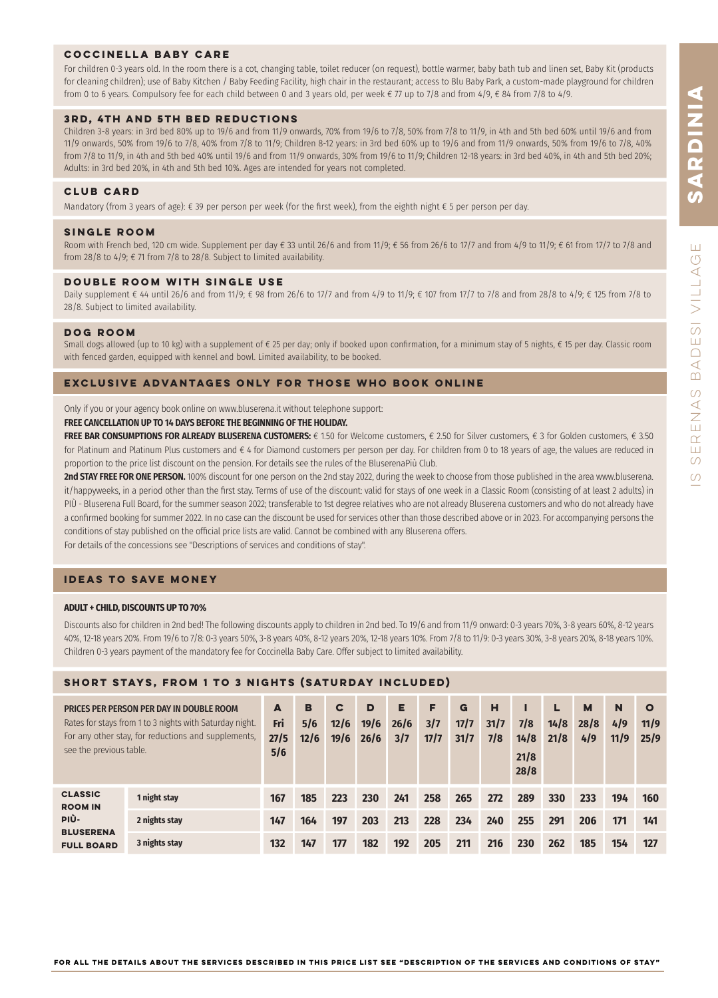ERENAS

 $\circ$  $\circ$ 

# **coccinella baby care**

For children 0-3 years old. In the room there is a cot, changing table, toilet reducer (on request), bottle warmer, baby bath tub and linen set, Baby Kit (products for cleaning children); use of Baby Kitchen / Baby Feeding Facility, high chair in the restaurant; access to Blu Baby Park, a custom-made playground for children from 0 to 6 years. Compulsory fee for each child between 0 and 3 years old, per week € 77 up to 7/8 and from 4/9, € 84 from 7/8 to 4/9.

# **3rd, 4th AND 5th BED REDUCTIONS**

Children 3-8 years: in 3rd bed 80% up to 19/6 and from 11/9 onwards, 70% from 19/6 to 7/8, 50% from 7/8 to 11/9, in 4th and 5th bed 60% until 19/6 and from 11/9 onwards, 50% from 19/6 to 7/8, 40% from 7/8 to 11/9; Children 8-12 years: in 3rd bed 60% up to 19/6 and from 11/9 onwards, 50% from 19/6 to 7/8, 40% from 7/8 to 11/9, in 4th and 5th bed 40% until 19/6 and from 11/9 onwards, 30% from 19/6 to 11/9; Children 12-18 years: in 3rd bed 40%, in 4th and 5th bed 20%; Adults: in 3rd bed 20%, in 4th and 5th bed 10%. Ages are intended for years not completed.

# **CLUB CARD**

Mandatory (from 3 years of age): € 39 per person per week (for the first week), from the eighth night € 5 per person per day.

# **SINGLE POOM**

Room with French bed, 120 cm wide. Supplement per day € 33 until 26/6 and from 11/9; € 56 from 26/6 to 17/7 and from 4/9 to 11/9; € 61 from 17/7 to 7/8 and from 28/8 to 4/9;  $\epsilon$  71 from 7/8 to 28/8. Subject to limited availability.

# **DOUBLE ROOM WITH SINGLE USE**

Daily supplement € 44 until 26/6 and from 11/9; € 98 from 26/6 to 17/7 and from 4/9 to 11/9; € 107 from 17/7 to 7/8 and from 28/8 to 4/9; € 125 from 7/8 to 28/8. Subject to limited availability.

# **dog room**

Small dogs allowed (up to 10 kg) with a supplement of € 25 per day; only if booked upon confirmation, for a minimum stay of 5 nights, € 15 per day. Classic room with fenced garden, equipped with kennel and bowl. Limited availability, to be booked.

# **EXCLUSIVE ADVANTAGES ONLY FOR THOSE WHO BOOK ONLINE**

Only if you or your agency book online on www.bluserena.it without telephone support:

# **FREE CANCELLATION UP TO 14 DAYS BEFORE THE BEGINNING OF THE HOLIDAY.**

**FREE BAR CONSUMPTIONS FOR ALREADY BLUSERENA CUSTOMERS:** € 1.50 for Welcome customers, € 2.50 for Silver customers, € 3 for Golden customers, € 3.50 for Platinum and Platinum Plus customers and € 4 for Diamond customers per person per day. For children from 0 to 18 years of age, the values are reduced in proportion to the price list discount on the pension. For details see the rules of the BluserenaPiù Club.

**2nd STAY FREE FOR ONE PERSON.** 100% discount for one person on the 2nd stay 2022, during the week to choose from those published in the area www.bluserena. it/happyweeks, in a period other than the first stay. Terms of use of the discount: valid for stays of one week in a Classic Room (consisting of at least 2 adults) in PIÙ - Bluserena Full Board, for the summer season 2022; transferable to 1st degree relatives who are not already Bluserena customers and who do not already have a confirmed booking for summer 2022. In no case can the discount be used for services other than those described above or in 2023. For accompanying persons the conditions of stay published on the official price lists are valid. Cannot be combined with any Bluserena offers. For details of the concessions see "Descriptions of services and conditions of stay".

# **IDEAS TO SAVE MONEY**

### **ADULT + CHILD, DISCOUNTS UP TO 70%**

Discounts also for children in 2nd bed! The following discounts apply to children in 2nd bed. To 19/6 and from 11/9 onward: 0-3 years 70%, 3-8 years 60%, 8-12 years 40%, 12-18 years 20%. From 19/6 to 7/8: 0-3 years 50%, 3-8 years 40%, 8-12 years 20%, 12-18 years 10%. From 7/8 to 11/9: 0-3 years 30%, 3-8 years 20%, 8-18 years 10%. Children 0-3 years payment of the mandatory fee for Coccinella Baby Care. Offer subject to limited availability.

# **SHORT STAYS, FROM 1 TO 3 NIGHTS (SATURDAY INCLUDED)**

| PRICES PER PERSON PER DAY IN DOUBLE ROOM<br>Rates for stays from 1 to 3 nights with Saturday night.<br>For any other stay, for reductions and supplements.<br>see the previous table. |               | A<br>Fri<br>27/5<br>5/6 | в<br>5/6<br>12/6 | C<br>12/6<br>19/6 | D<br>19/6<br>26/6 | Е<br>26/6<br>3/7 | F<br>3/7<br>17/7 | G<br>17/7<br>31/7 | н<br>31/7<br>7/8 | 7/8<br>14/8<br>21/8<br>28/8 | L<br>14/8<br>21/8 | M<br>28/8<br>4/9 | N<br>4/9<br>11/9 | $\circ$<br>11/9<br>25/9 |
|---------------------------------------------------------------------------------------------------------------------------------------------------------------------------------------|---------------|-------------------------|------------------|-------------------|-------------------|------------------|------------------|-------------------|------------------|-----------------------------|-------------------|------------------|------------------|-------------------------|
| <b>CLASSIC</b><br><b>ROOM IN</b><br>PIÙ-<br><b>BLUSERENA</b><br><b>FULL BOARD</b>                                                                                                     | 1 night stay  | 167                     | 185              | 223               | 230               | 241              | 258              | 265               | 272              | 289                         | 330               | 233              | 194              | 160                     |
|                                                                                                                                                                                       | 2 nights stay | 147                     | 164              | 197               | 203               | 213              | 228              | 234               | 240              | 255                         | 291               | 206              | 171              | 141                     |
|                                                                                                                                                                                       | 3 nights stay | 132                     | 147              | 177               | 182               | 192              | 205              | 211               | 216              | 230                         | 262               | 185              | 154              | 127                     |